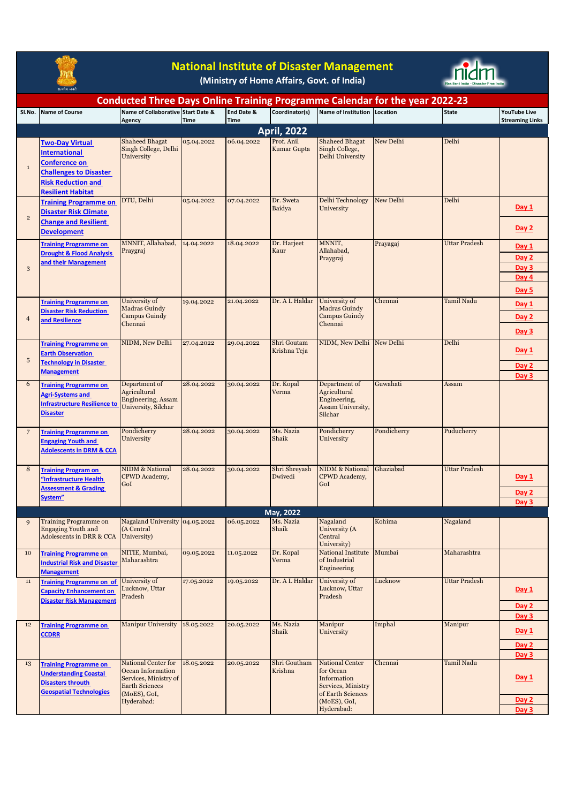

## **National Institute of Disaster Management**

**(Ministry of Home Affairs, Govt. of India)**



|                                                                                                                                             |                                                                                                                                                                  |                                                                                                                          |             |             | <b>Conducted Three Days Online Training Programme Calendar for the year 2022-23</b> |                                                                                                                             |             |                      |                                  |  |
|---------------------------------------------------------------------------------------------------------------------------------------------|------------------------------------------------------------------------------------------------------------------------------------------------------------------|--------------------------------------------------------------------------------------------------------------------------|-------------|-------------|-------------------------------------------------------------------------------------|-----------------------------------------------------------------------------------------------------------------------------|-------------|----------------------|----------------------------------|--|
| SI.No.                                                                                                                                      | <b>Name of Course</b>                                                                                                                                            | Name of Collaborative Start Date &                                                                                       |             | End Date &  | Coordinator(s)                                                                      | Name of Institution Location                                                                                                |             | <b>State</b>         | <b>YouTube Live</b>              |  |
|                                                                                                                                             |                                                                                                                                                                  | Agency                                                                                                                   | <b>Time</b> | <b>Time</b> |                                                                                     |                                                                                                                             |             |                      | <b>Streaming Links</b>           |  |
| <b>April, 2022</b><br>Prof. Anil<br>Delhi<br><b>Shaheed Bhagat</b><br><b>Shaheed Bhagat</b><br><b>New Delhi</b><br>05.04.2022<br>06.04.2022 |                                                                                                                                                                  |                                                                                                                          |             |             |                                                                                     |                                                                                                                             |             |                      |                                  |  |
| $\mathbf 1$                                                                                                                                 | <b>Two-Day Virtual</b><br><b>International</b><br><b>Conference on</b><br><b>Challenges to Disaster</b><br><b>Risk Reduction and</b><br><b>Resilient Habitat</b> | Singh College, Delhi<br>University                                                                                       |             |             | Kumar Gupta                                                                         | Singh College,<br>Delhi University                                                                                          |             |                      |                                  |  |
|                                                                                                                                             | <b>Training Programme on</b>                                                                                                                                     | DTU, Delhi                                                                                                               | 05.04.2022  | 07.04.2022  | Dr. Sweta                                                                           | Delhi Technology                                                                                                            | New Delhi   | Delhi                |                                  |  |
| $\overline{2}$                                                                                                                              | <b>Disaster Risk Climate</b><br><b>Change and Resilient</b><br><b>Development</b>                                                                                |                                                                                                                          |             |             | Baidya                                                                              | University                                                                                                                  |             |                      | Day 1<br>Day 2                   |  |
|                                                                                                                                             | <b>Training Programme on</b>                                                                                                                                     | MNNIT, Allahabad,                                                                                                        | 14.04.2022  | 18.04.2022  | Dr. Harjeet                                                                         | MNNIT,                                                                                                                      | Prayagaj    | <b>Uttar Pradesh</b> | Day 1                            |  |
| 3                                                                                                                                           | <b>Drought &amp; Flood Analysis</b><br>and their Management                                                                                                      | Praygraj                                                                                                                 |             |             | Kaur                                                                                | Allahabad,<br>Praygraj                                                                                                      |             |                      | Day 2<br>Day 3<br>Day 4<br>Day 5 |  |
| $\overline{4}$                                                                                                                              | <b>Training Programme on</b><br><b>Disaster Risk Reduction</b><br>and Resilience                                                                                 | University of<br>Madras Guindy<br>Campus Guindy<br>Chennai                                                               | 19.04.2022  | 21.04.2022  | Dr. A L Haldar                                                                      | University of<br><b>Madras Guindy</b><br>Campus Guindy<br>Chennai                                                           | Chennai     | Tamil Nadu           | Day 1<br>Day 2                   |  |
|                                                                                                                                             |                                                                                                                                                                  |                                                                                                                          |             |             |                                                                                     |                                                                                                                             |             |                      | Day 3                            |  |
| $\sqrt{5}$                                                                                                                                  | <b>Training Programme on</b><br><b>Earth Observation</b><br><b>Technology in Disaster</b>                                                                        | NIDM, New Delhi                                                                                                          | 27.04.2022  | 29.04.2022  | Shri Goutam<br>Krishna Teja                                                         | NIDM, New Delhi New Delhi                                                                                                   |             | Delhi                | Day 1                            |  |
|                                                                                                                                             | <b>Management</b>                                                                                                                                                |                                                                                                                          |             |             |                                                                                     |                                                                                                                             |             |                      | Day 2<br>Day 3                   |  |
| 6                                                                                                                                           | <b>Training Programme on</b><br><b>Agri-Systems and</b><br><b>Infrastructure Resilience to</b><br><b>Disaster</b>                                                | Department of<br>Agricultural<br>Engineering, Assam<br>University, Silchar                                               | 28.04.2022  | 30.04.2022  | Dr. Kopal<br>Verma                                                                  | Department of<br>Agricultural<br>Engineering,<br>Assam University,<br>Silchar                                               | Guwahati    | Assam                |                                  |  |
| $\overline{7}$                                                                                                                              | <b>Training Programme on</b><br><b>Engaging Youth and</b><br><b>Adolescents in DRM &amp; CCA</b>                                                                 | Pondicherry<br>University                                                                                                | 28.04.2022  | 30.04.2022  | Ms. Nazia<br>Shaik                                                                  | Pondicherry<br>University                                                                                                   | Pondicherry | Puducherry           |                                  |  |
| 8                                                                                                                                           | <b>Training Program on</b><br>"Infrastructure Health<br><b>Assessment &amp; Grading</b><br>System"                                                               | <b>NIDM &amp; National</b><br>CPWD Academy,<br>GoI                                                                       | 28.04.2022  | 30.04.2022  | Shri Shreyash<br>Dwivedi                                                            | <b>NIDM &amp; National</b><br>CPWD Academy,<br>GoI                                                                          | Ghaziabad   | <b>Uttar Pradesh</b> | Day 1<br>Day 2<br>Day 3          |  |
|                                                                                                                                             |                                                                                                                                                                  |                                                                                                                          |             |             | May, 2022                                                                           |                                                                                                                             |             |                      |                                  |  |
|                                                                                                                                             | Training Programme on<br><b>Engaging Youth and</b><br>Adolescents in DRR & CCA                                                                                   | Nagaland University 04.05.2022<br>(A Central<br>University)                                                              |             | 06.05.2022  | MS. Nazia<br>Shaik                                                                  | Nagaland<br>University (A<br>Central<br>University)                                                                         | Kohima      | Nagaland             |                                  |  |
| 10                                                                                                                                          | <b>Training Programme on</b><br><b>Industrial Risk and Disaster</b><br><b>Management</b>                                                                         | NITIE, Mumbai,<br>Maharashtra                                                                                            | 09.05.2022  | 11.05.2022  | Dr. Kopal<br>Verma                                                                  | National Institute<br>of Industrial<br>Engineering                                                                          | Mumbai      | Maharashtra          |                                  |  |
| $11\,$                                                                                                                                      | <b>Training Programme on of</b><br><b>Capacity Enhancement on</b><br><b>Disaster Risk Management</b>                                                             | University of<br>Lucknow, Uttar<br>Pradesh                                                                               | 17.05.2022  | 19.05.2022  | Dr. A L Haldar                                                                      | University of<br>Lucknow, Uttar<br>Pradesh                                                                                  | Lucknow     | <b>Uttar Pradesh</b> | Day 1<br>Day 2<br>Day 3          |  |
| 12                                                                                                                                          | <b>Training Programme on</b><br><b>CCDRR</b>                                                                                                                     | <b>Manipur University</b>                                                                                                | 18.05.2022  | 20.05.2022  | Ms. Nazia<br>Shaik                                                                  | Manipur<br>University                                                                                                       | Imphal      | Manipur              | Day 1<br>Day 2<br>Day 3          |  |
| 13                                                                                                                                          | <b>Training Programme on</b><br><b>Understanding Coastal</b><br><b>Disasters throuth</b><br><b>Geospatial Technologies</b>                                       | National Center for<br>Ocean Information<br>Services, Ministry of<br><b>Earth Sciences</b><br>(MoES), GoI,<br>Hyderabad: | 18.05.2022  | 20.05.2022  | Shri Goutham<br>Krishna                                                             | <b>National Center</b><br>for Ocean<br>Information<br>Services, Ministry<br>of Earth Sciences<br>(MoES), GoI,<br>Hyderabad: | Chennai     | <b>Tamil Nadu</b>    | Day 1<br>Day 2<br>Day 3          |  |